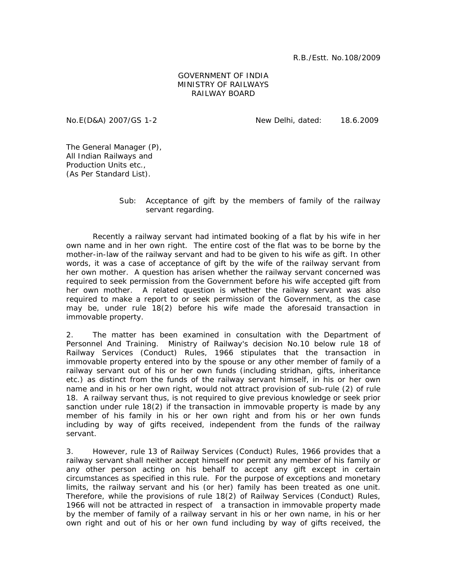R.B./Estt. No.108/2009

## GOVERNMENT OF INDIA MINISTRY OF RAILWAYS RAILWAY BOARD

No.E(D&A) 2007/GS 1-2 New Delhi, dated: 18.6.2009

The General Manager (P), All Indian Railways and Production Units etc., (As Per Standard List).

> Sub: Acceptance of gift by the members of family of the railway servant regarding.

 Recently a railway servant had intimated booking of a flat by his wife in her own name and in her own right. The entire cost of the flat was to be borne by the mother-in-law of the railway servant and had to be given to his wife as gift. In other words, it was a case of acceptance of gift by the wife of the railway servant from her own mother. A question has arisen whether the railway servant concerned was required to seek permission from the Government before his wife accepted gift from her own mother. A related question is whether the railway servant was also required to make a report to or seek permission of the Government, as the case may be, under rule 18(2) before his wife made the aforesaid transaction in immovable property.

2. The matter has been examined in consultation with the Department of Personnel And Training. Ministry of Railway's decision No.10 below rule 18 of Railway Services (Conduct) Rules, 1966 stipulates that the transaction in immovable property entered into by the spouse or any other member of family of a railway servant out of his or her own funds (including stridhan, gifts, inheritance etc.) as distinct from the funds of the railway servant himself, in his or her own name and in his or her own right, would not attract provision of sub-rule (2) of rule 18. A railway servant thus, is not required to give previous knowledge or seek prior sanction under rule 18(2) if the transaction in immovable property is made by any member of his family in his or her own right and from his or her own funds including by way of gifts received, independent from the funds of the railway servant.

3. However, rule 13 of Railway Services (Conduct) Rules, 1966 provides that a railway servant shall neither accept himself nor permit any member of his family or any other person acting on his behalf to accept any gift except in certain circumstances as specified in this rule. For the purpose of exceptions and monetary limits, the railway servant and his (or her) family has been treated as one unit. Therefore, while the provisions of rule 18(2) of Railway Services (Conduct) Rules, 1966 will not be attracted in respect of a transaction in immovable property made by the member of family of a railway servant in his or her own name, in his or her own right and out of his or her own fund including by way of gifts received, the